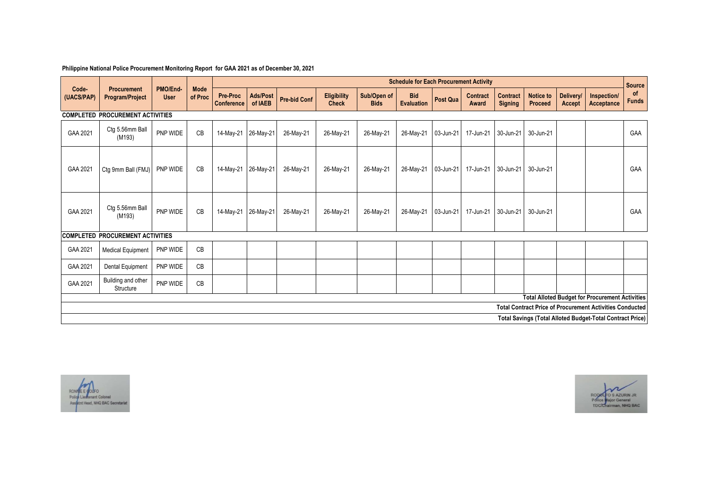## **Philippine National Police Procurement Monitoring Report for GAA 2021 as of December 30, 2021**

|                                                                                                                           | Procurement<br>Program/Project          | PMO/End-<br><b>User</b> | <b>Mode</b><br>of Proc | <b>Schedule for Each Procurement Activity</b> |                            |                     |                                    |                            |                                 |                 |                                 |                                   |                                    |                     |                           | <b>Source</b>      |
|---------------------------------------------------------------------------------------------------------------------------|-----------------------------------------|-------------------------|------------------------|-----------------------------------------------|----------------------------|---------------------|------------------------------------|----------------------------|---------------------------------|-----------------|---------------------------------|-----------------------------------|------------------------------------|---------------------|---------------------------|--------------------|
| Code-<br>(UACS/PAP)                                                                                                       |                                         |                         |                        | <b>Pre-Proc</b><br><b>Conference</b>          | <b>Ads/Post</b><br>of IAEB | <b>Pre-bid Conf</b> | <b>Eligibility</b><br><b>Check</b> | Sub/Open of<br><b>Bids</b> | <b>Bid</b><br><b>Evaluation</b> | <b>Post Qua</b> | <b>Contract</b><br><b>Award</b> | <b>Contract</b><br><b>Signing</b> | <b>Notice to</b><br><b>Proceed</b> | Delivery/<br>Accept | Inspection/<br>Acceptance | of<br><b>Funds</b> |
| <b>COMPLETED PROCUREMENT ACTIVITIES</b>                                                                                   |                                         |                         |                        |                                               |                            |                     |                                    |                            |                                 |                 |                                 |                                   |                                    |                     |                           |                    |
| GAA 2021                                                                                                                  | Ctg 5.56mm Ball<br>(M193)               | PNP WIDE                | CB                     | 14-May-21                                     | 26-May-21                  | 26-May-21           | 26-May-21                          | 26-May-21                  | 26-May-21                       | 03-Jun-21       | 17-Jun-21                       | 30-Jun-21                         | 30-Jun-21                          |                     |                           | GAA                |
| GAA 2021                                                                                                                  | Ctg 9mm Ball (FMJ)                      | PNP WIDE                | CB                     | 14-May-21                                     | 26-May-21                  | 26-May-21           | 26-May-21                          | 26-May-21                  | 26-May-21                       | 03-Jun-21       | 17-Jun-21                       | 30-Jun-21                         | 30-Jun-21                          |                     |                           | GAA                |
| GAA 2021                                                                                                                  | Ctg 5.56mm Ball<br>(M193)               | PNP WIDE                | CB                     | 14-May-21                                     | 26-May-21                  | 26-May-21           | 26-May-21                          | 26-May-21                  | 26-May-21                       | 03-Jun-21       | 17-Jun-21                       | 30-Jun-21                         | 30-Jun-21                          |                     |                           | GAA                |
|                                                                                                                           | <b>COMPLETED PROCUREMENT ACTIVITIES</b> |                         |                        |                                               |                            |                     |                                    |                            |                                 |                 |                                 |                                   |                                    |                     |                           |                    |
| GAA 2021                                                                                                                  | <b>Medical Equipment</b>                | PNP WIDE                | CB                     |                                               |                            |                     |                                    |                            |                                 |                 |                                 |                                   |                                    |                     |                           |                    |
| GAA 2021                                                                                                                  | Dental Equipment                        | PNP WIDE                | CB                     |                                               |                            |                     |                                    |                            |                                 |                 |                                 |                                   |                                    |                     |                           |                    |
| GAA 2021                                                                                                                  | Building and other<br>Structure         | PNP WIDE                | CB                     |                                               |                            |                     |                                    |                            |                                 |                 |                                 |                                   |                                    |                     |                           |                    |
| <b>Total Alloted Budget for Procurement Activities</b><br><b>Total Contract Price of Procurement Activities Conducted</b> |                                         |                         |                        |                                               |                            |                     |                                    |                            |                                 |                 |                                 |                                   |                                    |                     |                           |                    |
|                                                                                                                           |                                         |                         |                        |                                               |                            |                     |                                    |                            |                                 |                 |                                 |                                   |                                    |                     |                           |                    |
| <b>Total Savings (Total Alloted Budget-Total Contract Price)</b>                                                          |                                         |                         |                        |                                               |                            |                     |                                    |                            |                                 |                 |                                 |                                   |                                    |                     |                           |                    |